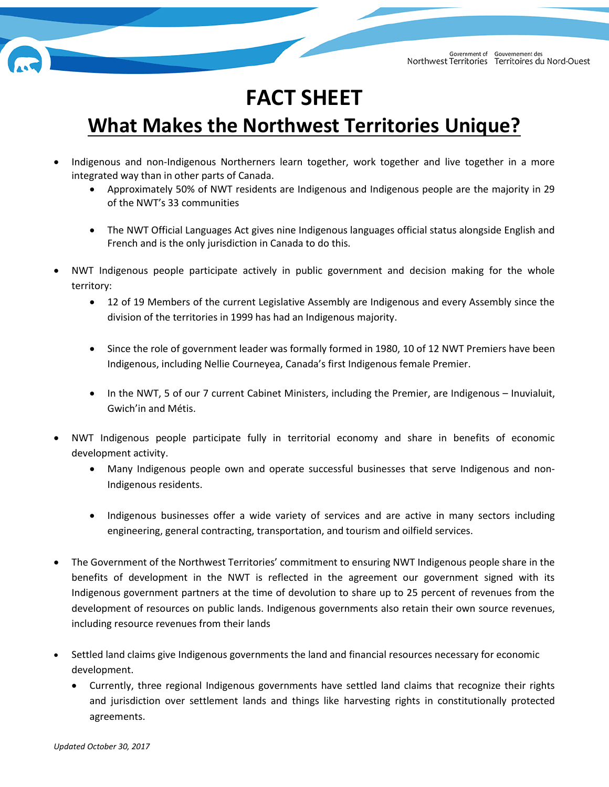

## **FACT SHEET**

## **What Makes the Northwest Territories Unique?**

- Indigenous and non-Indigenous Northerners learn together, work together and live together in a more integrated way than in other parts of Canada.
	- Approximately 50% of NWT residents are Indigenous and Indigenous people are the majority in 29 of the NWT's 33 communities
	- The NWT Official Languages Act gives nine Indigenous languages official status alongside English and French and is the only jurisdiction in Canada to do this.
- NWT Indigenous people participate actively in public government and decision making for the whole territory:
	- 12 of 19 Members of the current Legislative Assembly are Indigenous and every Assembly since the division of the territories in 1999 has had an Indigenous majority.
	- Since the role of government leader was formally formed in 1980, 10 of 12 NWT Premiers have been Indigenous, including Nellie Courneyea, Canada's first Indigenous female Premier.
	- In the NWT, 5 of our 7 current Cabinet Ministers, including the Premier, are Indigenous Inuvialuit, Gwich'in and Métis.
- NWT Indigenous people participate fully in territorial economy and share in benefits of economic development activity.
	- Many Indigenous people own and operate successful businesses that serve Indigenous and non-Indigenous residents.
	- Indigenous businesses offer a wide variety of services and are active in many sectors including engineering, general contracting, transportation, and tourism and oilfield services.
- The Government of the Northwest Territories' commitment to ensuring NWT Indigenous people share in the benefits of development in the NWT is reflected in the agreement our government signed with its Indigenous government partners at the time of devolution to share up to 25 percent of revenues from the development of resources on public lands. Indigenous governments also retain their own source revenues, including resource revenues from their lands
- Settled land claims give Indigenous governments the land and financial resources necessary for economic development.
	- Currently, three regional Indigenous governments have settled land claims that recognize their rights and jurisdiction over settlement lands and things like harvesting rights in constitutionally protected agreements.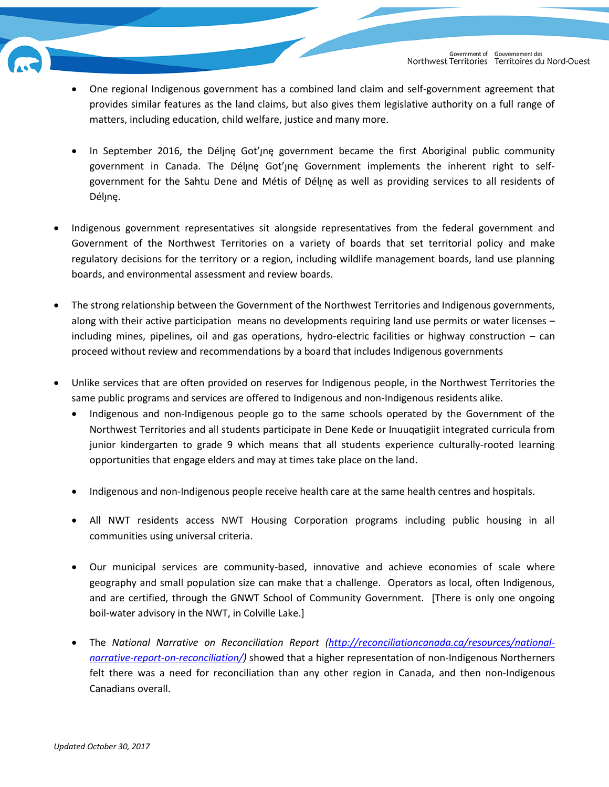

- One regional Indigenous government has a combined land claim and self-government agreement that provides similar features as the land claims, but also gives them legislative authority on a full range of matters, including education, child welfare, justice and many more.
- In September 2016, the Déline Got'ine government became the first Aboriginal public community government in Canada. The Déljne Got' jne Government implements the inherent right to selfgovernment for the Sahtu Dene and Métis of Déljne as well as providing services to all residents of Délįnę.
- Indigenous government representatives sit alongside representatives from the federal government and Government of the Northwest Territories on a variety of boards that set territorial policy and make regulatory decisions for the territory or a region, including wildlife management boards, land use planning boards, and environmental assessment and review boards.
- The strong relationship between the Government of the Northwest Territories and Indigenous governments, along with their active participation means no developments requiring land use permits or water licenses – including mines, pipelines, oil and gas operations, hydro-electric facilities or highway construction – can proceed without review and recommendations by a board that includes Indigenous governments
- Unlike services that are often provided on reserves for Indigenous people, in the Northwest Territories the same public programs and services are offered to Indigenous and non-Indigenous residents alike.
	- Indigenous and non-Indigenous people go to the same schools operated by the Government of the Northwest Territories and all students participate in Dene Kede or Inuuqatigiit integrated curricula from junior kindergarten to grade 9 which means that all students experience culturally-rooted learning opportunities that engage elders and may at times take place on the land.
	- Indigenous and non-Indigenous people receive health care at the same health centres and hospitals.
	- All NWT residents access NWT Housing Corporation programs including public housing in all communities using universal criteria.
	- Our municipal services are community-based, innovative and achieve economies of scale where geography and small population size can make that a challenge. Operators as local, often Indigenous, and are certified, through the GNWT School of Community Government. [There is only one ongoing boil-water advisory in the NWT, in Colville Lake.]
	- The *National Narrative on Reconciliation Report [\(http://reconciliationcanada.ca/resources/national](http://reconciliationcanada.ca/resources/national-narrative-report-on-reconciliation/)[narrative-report-on-reconciliation/\)](http://reconciliationcanada.ca/resources/national-narrative-report-on-reconciliation/)* showed that a higher representation of non-Indigenous Northerners felt there was a need for reconciliation than any other region in Canada, and then non-Indigenous Canadians overall.